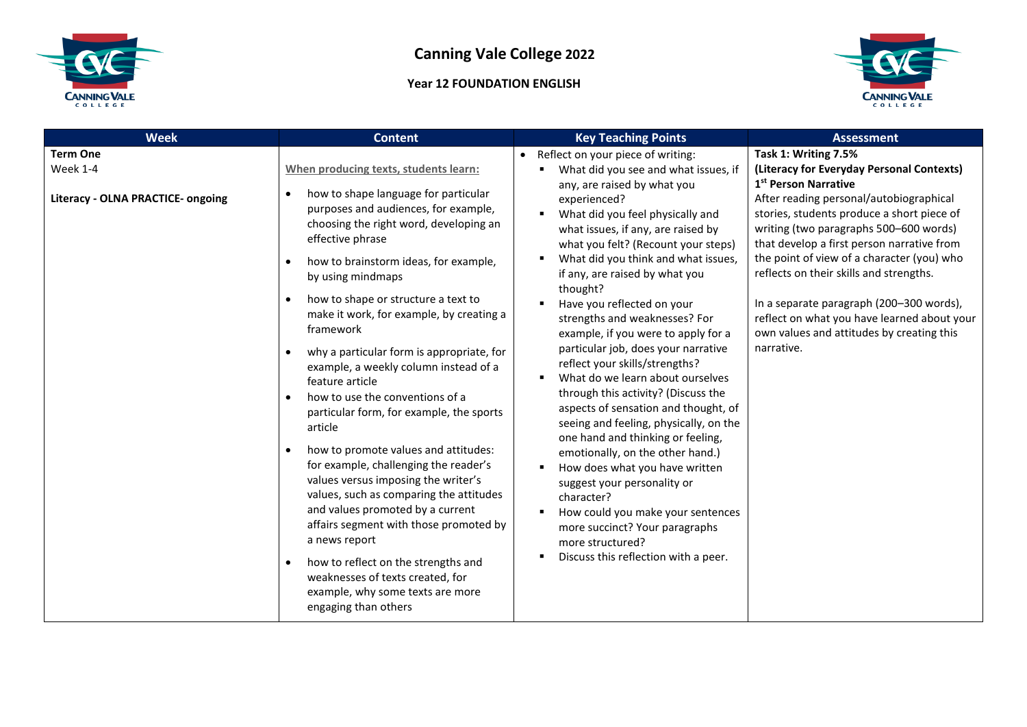

## **Year 12 FOUNDATION ENGLISH**



| <b>Week</b>                                                             | <b>Content</b>                                                                                                                                                                                                                                                                                                                                                                                                                                                                                                                                                                                                                                                                                                                                                                                                                                                                                                                                                                                                                 | <b>Key Teaching Points</b>                                                                                                                                                                                                                                                                                                                                                                                                                                                                                                                                                                                                                                                                                                                                                                                                                                                                                                                                              | <b>Assessment</b>                                                                                                                                                                                                                                                                                                                                                                                                                                                                                                                     |
|-------------------------------------------------------------------------|--------------------------------------------------------------------------------------------------------------------------------------------------------------------------------------------------------------------------------------------------------------------------------------------------------------------------------------------------------------------------------------------------------------------------------------------------------------------------------------------------------------------------------------------------------------------------------------------------------------------------------------------------------------------------------------------------------------------------------------------------------------------------------------------------------------------------------------------------------------------------------------------------------------------------------------------------------------------------------------------------------------------------------|-------------------------------------------------------------------------------------------------------------------------------------------------------------------------------------------------------------------------------------------------------------------------------------------------------------------------------------------------------------------------------------------------------------------------------------------------------------------------------------------------------------------------------------------------------------------------------------------------------------------------------------------------------------------------------------------------------------------------------------------------------------------------------------------------------------------------------------------------------------------------------------------------------------------------------------------------------------------------|---------------------------------------------------------------------------------------------------------------------------------------------------------------------------------------------------------------------------------------------------------------------------------------------------------------------------------------------------------------------------------------------------------------------------------------------------------------------------------------------------------------------------------------|
| <b>Term One</b><br>Week 1-4<br><b>Literacy - OLNA PRACTICE- ongoing</b> | When producing texts, students learn:<br>how to shape language for particular<br>$\bullet$<br>purposes and audiences, for example,<br>choosing the right word, developing an<br>effective phrase<br>how to brainstorm ideas, for example,<br>$\bullet$<br>by using mindmaps<br>how to shape or structure a text to<br>make it work, for example, by creating a<br>framework<br>why a particular form is appropriate, for<br>example, a weekly column instead of a<br>feature article<br>how to use the conventions of a<br>$\bullet$<br>particular form, for example, the sports<br>article<br>how to promote values and attitudes:<br>$\bullet$<br>for example, challenging the reader's<br>values versus imposing the writer's<br>values, such as comparing the attitudes<br>and values promoted by a current<br>affairs segment with those promoted by<br>a news report<br>how to reflect on the strengths and<br>$\bullet$<br>weaknesses of texts created, for<br>example, why some texts are more<br>engaging than others | • Reflect on your piece of writing:<br>What did you see and what issues, if<br>any, are raised by what you<br>experienced?<br>What did you feel physically and<br>what issues, if any, are raised by<br>what you felt? (Recount your steps)<br>What did you think and what issues,<br>if any, are raised by what you<br>thought?<br>Have you reflected on your<br>strengths and weaknesses? For<br>example, if you were to apply for a<br>particular job, does your narrative<br>reflect your skills/strengths?<br>What do we learn about ourselves<br>through this activity? (Discuss the<br>aspects of sensation and thought, of<br>seeing and feeling, physically, on the<br>one hand and thinking or feeling,<br>emotionally, on the other hand.)<br>How does what you have written<br>suggest your personality or<br>character?<br>How could you make your sentences<br>more succinct? Your paragraphs<br>more structured?<br>Discuss this reflection with a peer. | Task 1: Writing 7.5%<br>(Literacy for Everyday Personal Contexts)<br>1 <sup>st</sup> Person Narrative<br>After reading personal/autobiographical<br>stories, students produce a short piece of<br>writing (two paragraphs 500-600 words)<br>that develop a first person narrative from<br>the point of view of a character (you) who<br>reflects on their skills and strengths.<br>In a separate paragraph (200-300 words),<br>reflect on what you have learned about your<br>own values and attitudes by creating this<br>narrative. |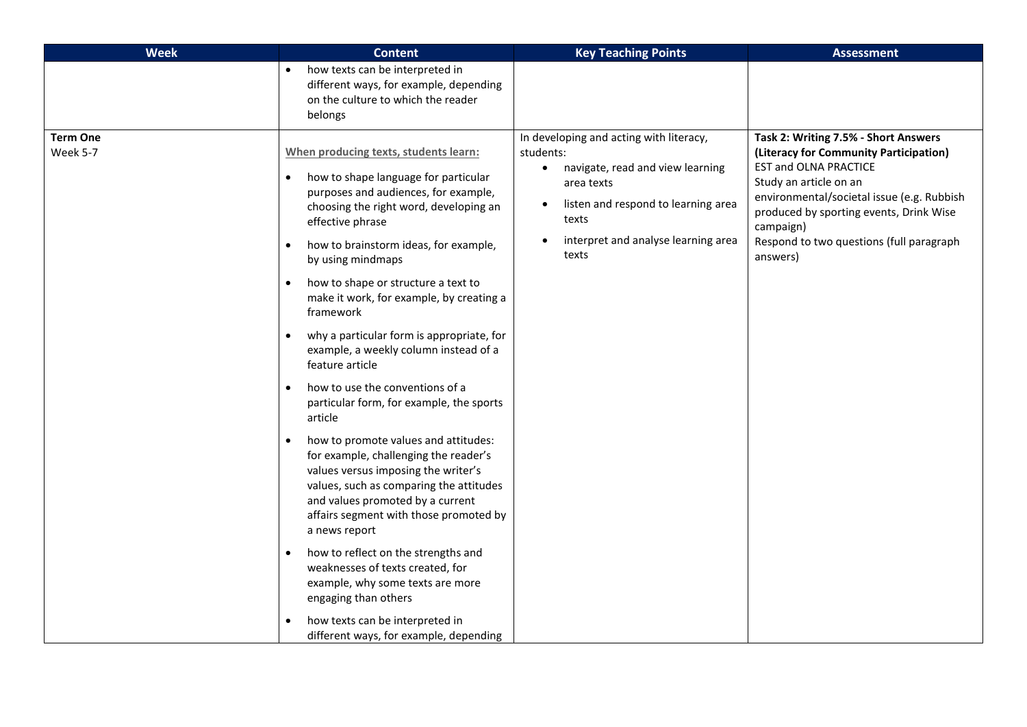| <b>Week</b>                 | <b>Content</b>                                                                                                                                                                                                                                                                                                                                                                                                                                                                                                                                                                                                                                                                                                                                                                                                                                                                                                                                                                                                                                                                                                                        | <b>Key Teaching Points</b>                                                                                                                                                                                          | <b>Assessment</b>                                                                                                                                                                                                                                                                                      |
|-----------------------------|---------------------------------------------------------------------------------------------------------------------------------------------------------------------------------------------------------------------------------------------------------------------------------------------------------------------------------------------------------------------------------------------------------------------------------------------------------------------------------------------------------------------------------------------------------------------------------------------------------------------------------------------------------------------------------------------------------------------------------------------------------------------------------------------------------------------------------------------------------------------------------------------------------------------------------------------------------------------------------------------------------------------------------------------------------------------------------------------------------------------------------------|---------------------------------------------------------------------------------------------------------------------------------------------------------------------------------------------------------------------|--------------------------------------------------------------------------------------------------------------------------------------------------------------------------------------------------------------------------------------------------------------------------------------------------------|
|                             | how texts can be interpreted in<br>different ways, for example, depending<br>on the culture to which the reader<br>belongs                                                                                                                                                                                                                                                                                                                                                                                                                                                                                                                                                                                                                                                                                                                                                                                                                                                                                                                                                                                                            |                                                                                                                                                                                                                     |                                                                                                                                                                                                                                                                                                        |
| <b>Term One</b><br>Week 5-7 | When producing texts, students learn:<br>how to shape language for particular<br>$\bullet$<br>purposes and audiences, for example,<br>choosing the right word, developing an<br>effective phrase<br>how to brainstorm ideas, for example,<br>$\bullet$<br>by using mindmaps<br>how to shape or structure a text to<br>$\bullet$<br>make it work, for example, by creating a<br>framework<br>why a particular form is appropriate, for<br>$\bullet$<br>example, a weekly column instead of a<br>feature article<br>how to use the conventions of a<br>$\bullet$<br>particular form, for example, the sports<br>article<br>how to promote values and attitudes:<br>$\bullet$<br>for example, challenging the reader's<br>values versus imposing the writer's<br>values, such as comparing the attitudes<br>and values promoted by a current<br>affairs segment with those promoted by<br>a news report<br>how to reflect on the strengths and<br>$\bullet$<br>weaknesses of texts created, for<br>example, why some texts are more<br>engaging than others<br>how texts can be interpreted in<br>different ways, for example, depending | In developing and acting with literacy,<br>students:<br>navigate, read and view learning<br>$\bullet$<br>area texts<br>listen and respond to learning area<br>texts<br>interpret and analyse learning area<br>texts | Task 2: Writing 7.5% - Short Answers<br>(Literacy for Community Participation)<br><b>EST and OLNA PRACTICE</b><br>Study an article on an<br>environmental/societal issue (e.g. Rubbish<br>produced by sporting events, Drink Wise<br>campaign)<br>Respond to two questions (full paragraph<br>answers) |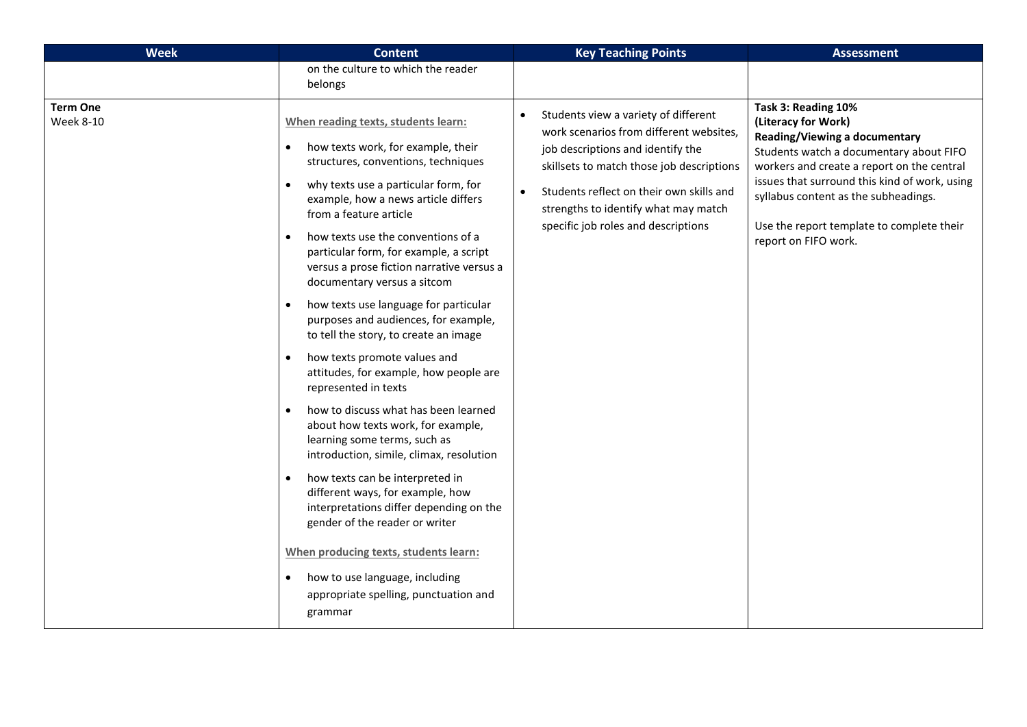| <b>Week</b>                         | <b>Content</b>                                                                                                                                                                                                                                                                                                                                                                                                                                                                                                                                                                                                                                                                                                                                                                                                                                                                                                                                                                                                                                                                                                                                                         | <b>Key Teaching Points</b>                                                                                                                                                                                                                                                                                             | <b>Assessment</b>                                                                                                                                                                                                                                                                                                                  |
|-------------------------------------|------------------------------------------------------------------------------------------------------------------------------------------------------------------------------------------------------------------------------------------------------------------------------------------------------------------------------------------------------------------------------------------------------------------------------------------------------------------------------------------------------------------------------------------------------------------------------------------------------------------------------------------------------------------------------------------------------------------------------------------------------------------------------------------------------------------------------------------------------------------------------------------------------------------------------------------------------------------------------------------------------------------------------------------------------------------------------------------------------------------------------------------------------------------------|------------------------------------------------------------------------------------------------------------------------------------------------------------------------------------------------------------------------------------------------------------------------------------------------------------------------|------------------------------------------------------------------------------------------------------------------------------------------------------------------------------------------------------------------------------------------------------------------------------------------------------------------------------------|
|                                     | on the culture to which the reader<br>belongs                                                                                                                                                                                                                                                                                                                                                                                                                                                                                                                                                                                                                                                                                                                                                                                                                                                                                                                                                                                                                                                                                                                          |                                                                                                                                                                                                                                                                                                                        |                                                                                                                                                                                                                                                                                                                                    |
| <b>Term One</b><br><b>Week 8-10</b> | When reading texts, students learn:<br>how texts work, for example, their<br>$\bullet$<br>structures, conventions, techniques<br>why texts use a particular form, for<br>$\bullet$<br>example, how a news article differs<br>from a feature article<br>how texts use the conventions of a<br>$\bullet$<br>particular form, for example, a script<br>versus a prose fiction narrative versus a<br>documentary versus a sitcom<br>how texts use language for particular<br>$\bullet$<br>purposes and audiences, for example,<br>to tell the story, to create an image<br>how texts promote values and<br>$\bullet$<br>attitudes, for example, how people are<br>represented in texts<br>how to discuss what has been learned<br>$\bullet$<br>about how texts work, for example,<br>learning some terms, such as<br>introduction, simile, climax, resolution<br>how texts can be interpreted in<br>$\bullet$<br>different ways, for example, how<br>interpretations differ depending on the<br>gender of the reader or writer<br>When producing texts, students learn:<br>how to use language, including<br>$\bullet$<br>appropriate spelling, punctuation and<br>grammar | Students view a variety of different<br>$\bullet$<br>work scenarios from different websites,<br>job descriptions and identify the<br>skillsets to match those job descriptions<br>Students reflect on their own skills and<br>$\bullet$<br>strengths to identify what may match<br>specific job roles and descriptions | Task 3: Reading 10%<br>(Literacy for Work)<br>Reading/Viewing a documentary<br>Students watch a documentary about FIFO<br>workers and create a report on the central<br>issues that surround this kind of work, using<br>syllabus content as the subheadings.<br>Use the report template to complete their<br>report on FIFO work. |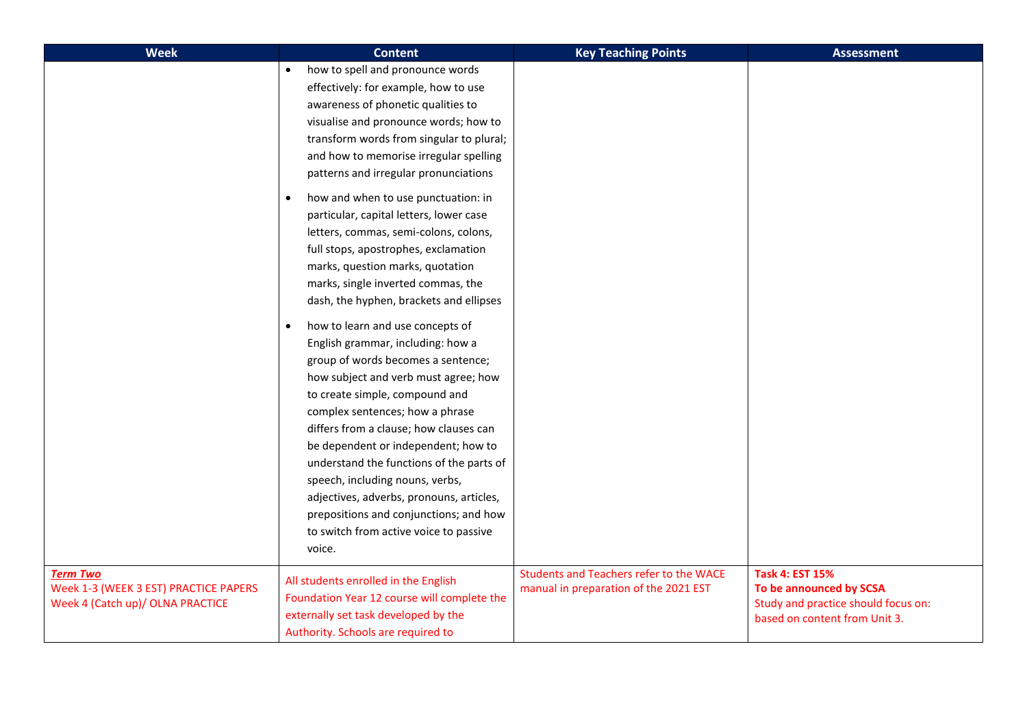| <b>Week</b>                                                                                  | <b>Content</b>                                                                                                                                                                                                                                                                                                                                                                                                                                                                                                                                                                                                                                                                                                                                                                                                                                                                                                                                                    | <b>Key Teaching Points</b>                                                              | <b>Assessment</b>                                                                                                         |
|----------------------------------------------------------------------------------------------|-------------------------------------------------------------------------------------------------------------------------------------------------------------------------------------------------------------------------------------------------------------------------------------------------------------------------------------------------------------------------------------------------------------------------------------------------------------------------------------------------------------------------------------------------------------------------------------------------------------------------------------------------------------------------------------------------------------------------------------------------------------------------------------------------------------------------------------------------------------------------------------------------------------------------------------------------------------------|-----------------------------------------------------------------------------------------|---------------------------------------------------------------------------------------------------------------------------|
|                                                                                              | how to spell and pronounce words<br>effectively: for example, how to use<br>awareness of phonetic qualities to<br>visualise and pronounce words; how to<br>transform words from singular to plural;<br>and how to memorise irregular spelling<br>patterns and irregular pronunciations<br>how and when to use punctuation: in<br>$\bullet$<br>particular, capital letters, lower case<br>letters, commas, semi-colons, colons,<br>full stops, apostrophes, exclamation<br>marks, question marks, quotation<br>marks, single inverted commas, the<br>dash, the hyphen, brackets and ellipses<br>how to learn and use concepts of<br>$\bullet$<br>English grammar, including: how a<br>group of words becomes a sentence;<br>how subject and verb must agree; how<br>to create simple, compound and<br>complex sentences; how a phrase<br>differs from a clause; how clauses can<br>be dependent or independent; how to<br>understand the functions of the parts of |                                                                                         |                                                                                                                           |
|                                                                                              | speech, including nouns, verbs,<br>adjectives, adverbs, pronouns, articles,<br>prepositions and conjunctions; and how<br>to switch from active voice to passive<br>voice.                                                                                                                                                                                                                                                                                                                                                                                                                                                                                                                                                                                                                                                                                                                                                                                         |                                                                                         |                                                                                                                           |
| <b>Term Two</b><br>Week 1-3 (WEEK 3 EST) PRACTICE PAPERS<br>Week 4 (Catch up)/ OLNA PRACTICE | All students enrolled in the English<br>Foundation Year 12 course will complete the<br>externally set task developed by the<br>Authority. Schools are required to                                                                                                                                                                                                                                                                                                                                                                                                                                                                                                                                                                                                                                                                                                                                                                                                 | <b>Students and Teachers refer to the WACE</b><br>manual in preparation of the 2021 EST | <b>Task 4: EST 15%</b><br>To be announced by SCSA<br>Study and practice should focus on:<br>based on content from Unit 3. |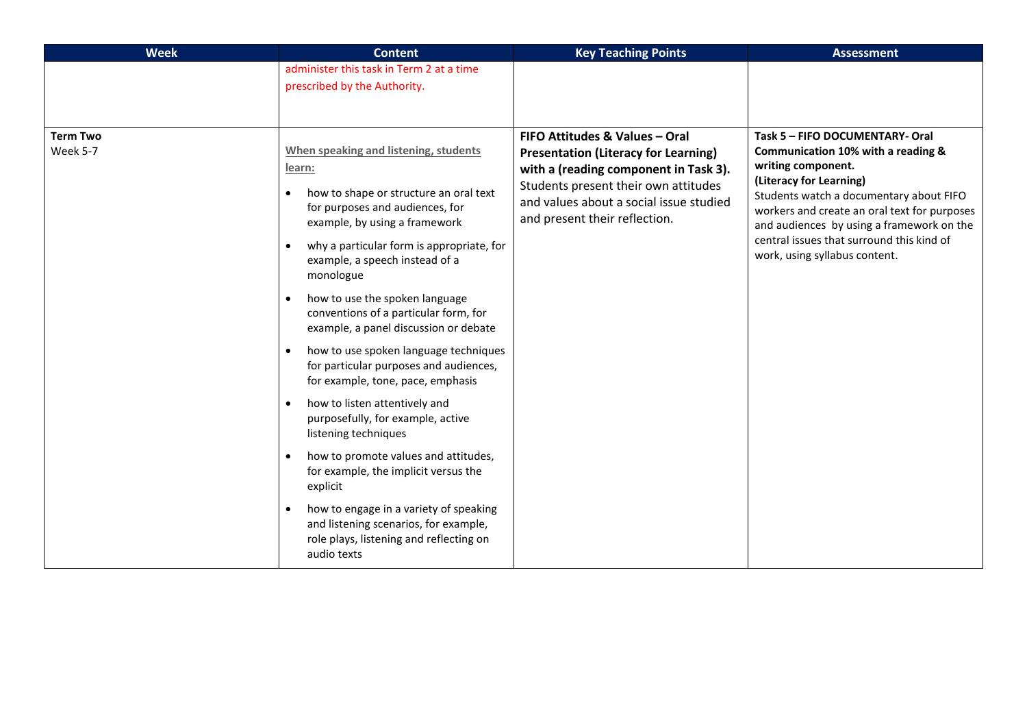| <b>Week</b>                 | <b>Content</b>                                                                                                                                                                                                                                                                                                                                                                                                                                                                                                                                                                                                                                                                                                                                                                                                                                                                | <b>Key Teaching Points</b>                                                                                                                                                                                                                 | <b>Assessment</b>                                                                                                                                                                                                                                                                                                                            |
|-----------------------------|-------------------------------------------------------------------------------------------------------------------------------------------------------------------------------------------------------------------------------------------------------------------------------------------------------------------------------------------------------------------------------------------------------------------------------------------------------------------------------------------------------------------------------------------------------------------------------------------------------------------------------------------------------------------------------------------------------------------------------------------------------------------------------------------------------------------------------------------------------------------------------|--------------------------------------------------------------------------------------------------------------------------------------------------------------------------------------------------------------------------------------------|----------------------------------------------------------------------------------------------------------------------------------------------------------------------------------------------------------------------------------------------------------------------------------------------------------------------------------------------|
|                             | administer this task in Term 2 at a time                                                                                                                                                                                                                                                                                                                                                                                                                                                                                                                                                                                                                                                                                                                                                                                                                                      |                                                                                                                                                                                                                                            |                                                                                                                                                                                                                                                                                                                                              |
|                             | prescribed by the Authority.                                                                                                                                                                                                                                                                                                                                                                                                                                                                                                                                                                                                                                                                                                                                                                                                                                                  |                                                                                                                                                                                                                                            |                                                                                                                                                                                                                                                                                                                                              |
|                             |                                                                                                                                                                                                                                                                                                                                                                                                                                                                                                                                                                                                                                                                                                                                                                                                                                                                               |                                                                                                                                                                                                                                            |                                                                                                                                                                                                                                                                                                                                              |
| <b>Term Two</b><br>Week 5-7 | When speaking and listening, students<br>learn:<br>how to shape or structure an oral text<br>$\bullet$<br>for purposes and audiences, for<br>example, by using a framework<br>why a particular form is appropriate, for<br>$\bullet$<br>example, a speech instead of a<br>monologue<br>how to use the spoken language<br>$\bullet$<br>conventions of a particular form, for<br>example, a panel discussion or debate<br>how to use spoken language techniques<br>$\bullet$<br>for particular purposes and audiences,<br>for example, tone, pace, emphasis<br>how to listen attentively and<br>$\bullet$<br>purposefully, for example, active<br>listening techniques<br>how to promote values and attitudes,<br>$\bullet$<br>for example, the implicit versus the<br>explicit<br>how to engage in a variety of speaking<br>$\bullet$<br>and listening scenarios, for example, | FIFO Attitudes & Values - Oral<br><b>Presentation (Literacy for Learning)</b><br>with a (reading component in Task 3).<br>Students present their own attitudes<br>and values about a social issue studied<br>and present their reflection. | Task 5 - FIFO DOCUMENTARY- Oral<br>Communication 10% with a reading &<br>writing component.<br>(Literacy for Learning)<br>Students watch a documentary about FIFO<br>workers and create an oral text for purposes<br>and audiences by using a framework on the<br>central issues that surround this kind of<br>work, using syllabus content. |
|                             | role plays, listening and reflecting on<br>audio texts                                                                                                                                                                                                                                                                                                                                                                                                                                                                                                                                                                                                                                                                                                                                                                                                                        |                                                                                                                                                                                                                                            |                                                                                                                                                                                                                                                                                                                                              |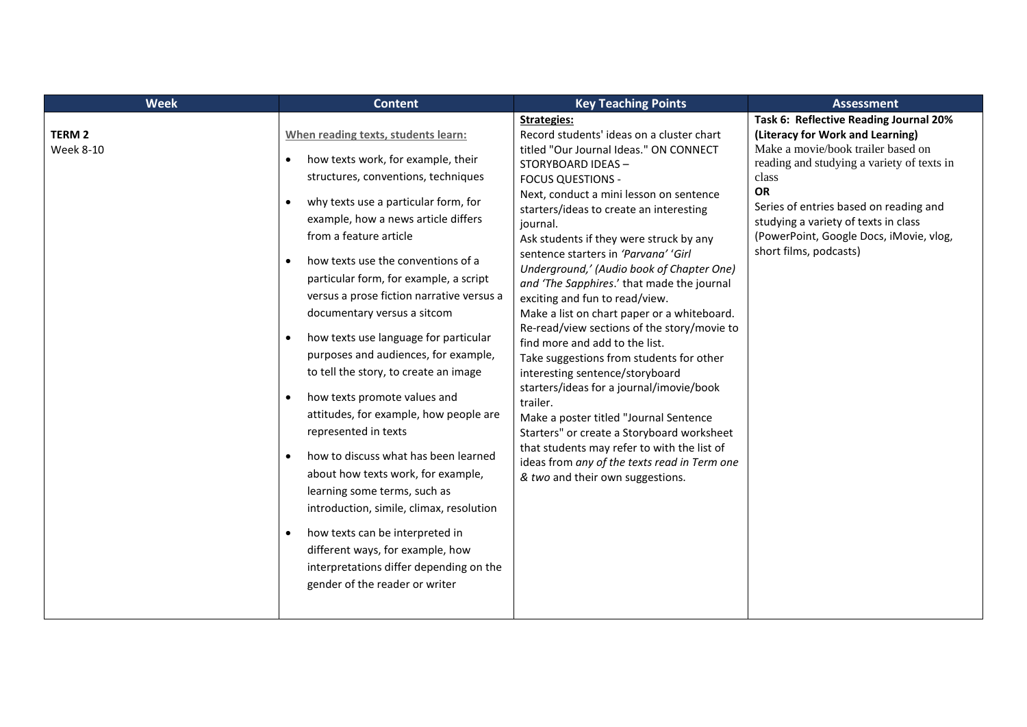| <b>Week</b>                       | <b>Content</b>                                                                                                                                                                                                                                                                                                                                                                                                                                                                                                                                                                                                                                                                                                                                                                                                                                                                                                                                                                                                | <b>Key Teaching Points</b>                                                                                                                                                                                                                                                                                                                                                                                                                                                                                                                                                                                                                                                                                                                                                                                                                                                                                                                                                     | <b>Assessment</b>                                                                                                                                                                                                                                                                                                                           |
|-----------------------------------|---------------------------------------------------------------------------------------------------------------------------------------------------------------------------------------------------------------------------------------------------------------------------------------------------------------------------------------------------------------------------------------------------------------------------------------------------------------------------------------------------------------------------------------------------------------------------------------------------------------------------------------------------------------------------------------------------------------------------------------------------------------------------------------------------------------------------------------------------------------------------------------------------------------------------------------------------------------------------------------------------------------|--------------------------------------------------------------------------------------------------------------------------------------------------------------------------------------------------------------------------------------------------------------------------------------------------------------------------------------------------------------------------------------------------------------------------------------------------------------------------------------------------------------------------------------------------------------------------------------------------------------------------------------------------------------------------------------------------------------------------------------------------------------------------------------------------------------------------------------------------------------------------------------------------------------------------------------------------------------------------------|---------------------------------------------------------------------------------------------------------------------------------------------------------------------------------------------------------------------------------------------------------------------------------------------------------------------------------------------|
| <b>TERM 2</b><br><b>Week 8-10</b> | When reading texts, students learn:<br>how texts work, for example, their<br>$\bullet$<br>structures, conventions, techniques<br>why texts use a particular form, for<br>$\bullet$<br>example, how a news article differs<br>from a feature article<br>how texts use the conventions of a<br>$\bullet$<br>particular form, for example, a script<br>versus a prose fiction narrative versus a<br>documentary versus a sitcom<br>how texts use language for particular<br>purposes and audiences, for example,<br>to tell the story, to create an image<br>how texts promote values and<br>$\bullet$<br>attitudes, for example, how people are<br>represented in texts<br>how to discuss what has been learned<br>$\bullet$<br>about how texts work, for example,<br>learning some terms, such as<br>introduction, simile, climax, resolution<br>how texts can be interpreted in<br>$\bullet$<br>different ways, for example, how<br>interpretations differ depending on the<br>gender of the reader or writer | <b>Strategies:</b><br>Record students' ideas on a cluster chart<br>titled "Our Journal Ideas." ON CONNECT<br>STORYBOARD IDEAS-<br><b>FOCUS QUESTIONS -</b><br>Next, conduct a mini lesson on sentence<br>starters/ideas to create an interesting<br>journal.<br>Ask students if they were struck by any<br>sentence starters in 'Parvana' 'Girl<br>Underground,' (Audio book of Chapter One)<br>and 'The Sapphires.' that made the journal<br>exciting and fun to read/view.<br>Make a list on chart paper or a whiteboard.<br>Re-read/view sections of the story/movie to<br>find more and add to the list.<br>Take suggestions from students for other<br>interesting sentence/storyboard<br>starters/ideas for a journal/imovie/book<br>trailer.<br>Make a poster titled "Journal Sentence<br>Starters" or create a Storyboard worksheet<br>that students may refer to with the list of<br>ideas from any of the texts read in Term one<br>& two and their own suggestions. | Task 6: Reflective Reading Journal 20%<br>(Literacy for Work and Learning)<br>Make a movie/book trailer based on<br>reading and studying a variety of texts in<br>class<br><b>OR</b><br>Series of entries based on reading and<br>studying a variety of texts in class<br>(PowerPoint, Google Docs, iMovie, vlog,<br>short films, podcasts) |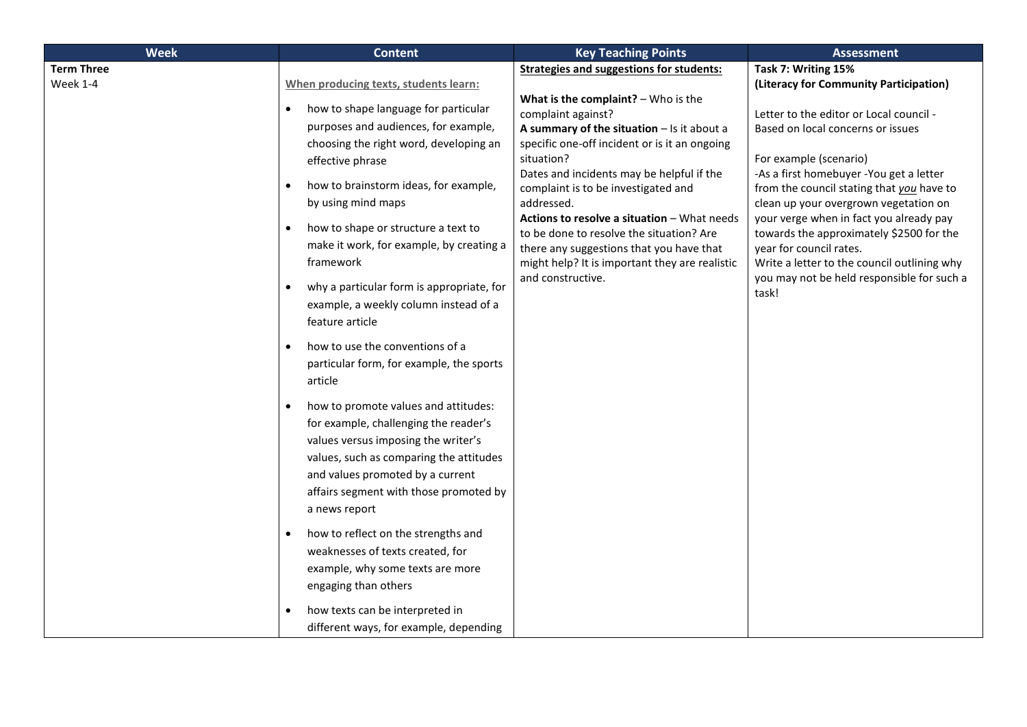| <b>Week</b>       | <b>Content</b>                                                                                                                                                                                                                                                              | <b>Key Teaching Points</b>                                                                                                                                                                                                                                                                                                  | <b>Assessment</b>                                                                                                                                                                          |                                                                                      |
|-------------------|-----------------------------------------------------------------------------------------------------------------------------------------------------------------------------------------------------------------------------------------------------------------------------|-----------------------------------------------------------------------------------------------------------------------------------------------------------------------------------------------------------------------------------------------------------------------------------------------------------------------------|--------------------------------------------------------------------------------------------------------------------------------------------------------------------------------------------|--------------------------------------------------------------------------------------|
| <b>Term Three</b> |                                                                                                                                                                                                                                                                             | <b>Strategies and suggestions for students:</b>                                                                                                                                                                                                                                                                             | Task 7: Writing 15%                                                                                                                                                                        |                                                                                      |
| Week 1-4          | When producing texts, students learn:                                                                                                                                                                                                                                       |                                                                                                                                                                                                                                                                                                                             | (Literacy for Community Participation)                                                                                                                                                     |                                                                                      |
|                   | how to shape language for particular<br>$\bullet$<br>purposes and audiences, for example,<br>choosing the right word, developing an<br>effective phrase<br>how to brainstorm ideas, for example,<br>$\bullet$<br>by using mind maps                                         | What is the complaint? $-$ Who is the<br>complaint against?<br>A summary of the situation $-$ Is it about a<br>specific one-off incident or is it an ongoing<br>situation?<br>Dates and incidents may be helpful if the<br>complaint is to be investigated and<br>addressed.<br>Actions to resolve a situation - What needs | Letter to the editor or Local council -<br>Based on local concerns or issues<br>For example (scenario)<br>-As a first homebuyer -You get a letter<br>clean up your overgrown vegetation on | from the council stating that you have to<br>your verge when in fact you already pay |
|                   | how to shape or structure a text to<br>$\bullet$<br>make it work, for example, by creating a<br>framework<br>why a particular form is appropriate, for<br>$\bullet$                                                                                                         | to be done to resolve the situation? Are<br>there any suggestions that you have that<br>might help? It is important they are realistic<br>and constructive.                                                                                                                                                                 | towards the approximately \$2500 for the<br>year for council rates.<br>Write a letter to the council outlining why<br>you may not be held responsible for such a                           |                                                                                      |
|                   | example, a weekly column instead of a<br>feature article                                                                                                                                                                                                                    |                                                                                                                                                                                                                                                                                                                             | task!                                                                                                                                                                                      |                                                                                      |
|                   | how to use the conventions of a<br>$\bullet$<br>particular form, for example, the sports<br>article                                                                                                                                                                         |                                                                                                                                                                                                                                                                                                                             |                                                                                                                                                                                            |                                                                                      |
|                   | how to promote values and attitudes:<br>$\bullet$<br>for example, challenging the reader's<br>values versus imposing the writer's<br>values, such as comparing the attitudes<br>and values promoted by a current<br>affairs segment with those promoted by<br>a news report |                                                                                                                                                                                                                                                                                                                             |                                                                                                                                                                                            |                                                                                      |
|                   | how to reflect on the strengths and<br>$\bullet$<br>weaknesses of texts created, for<br>example, why some texts are more<br>engaging than others                                                                                                                            |                                                                                                                                                                                                                                                                                                                             |                                                                                                                                                                                            |                                                                                      |
|                   | how texts can be interpreted in<br>different ways, for example, depending                                                                                                                                                                                                   |                                                                                                                                                                                                                                                                                                                             |                                                                                                                                                                                            |                                                                                      |